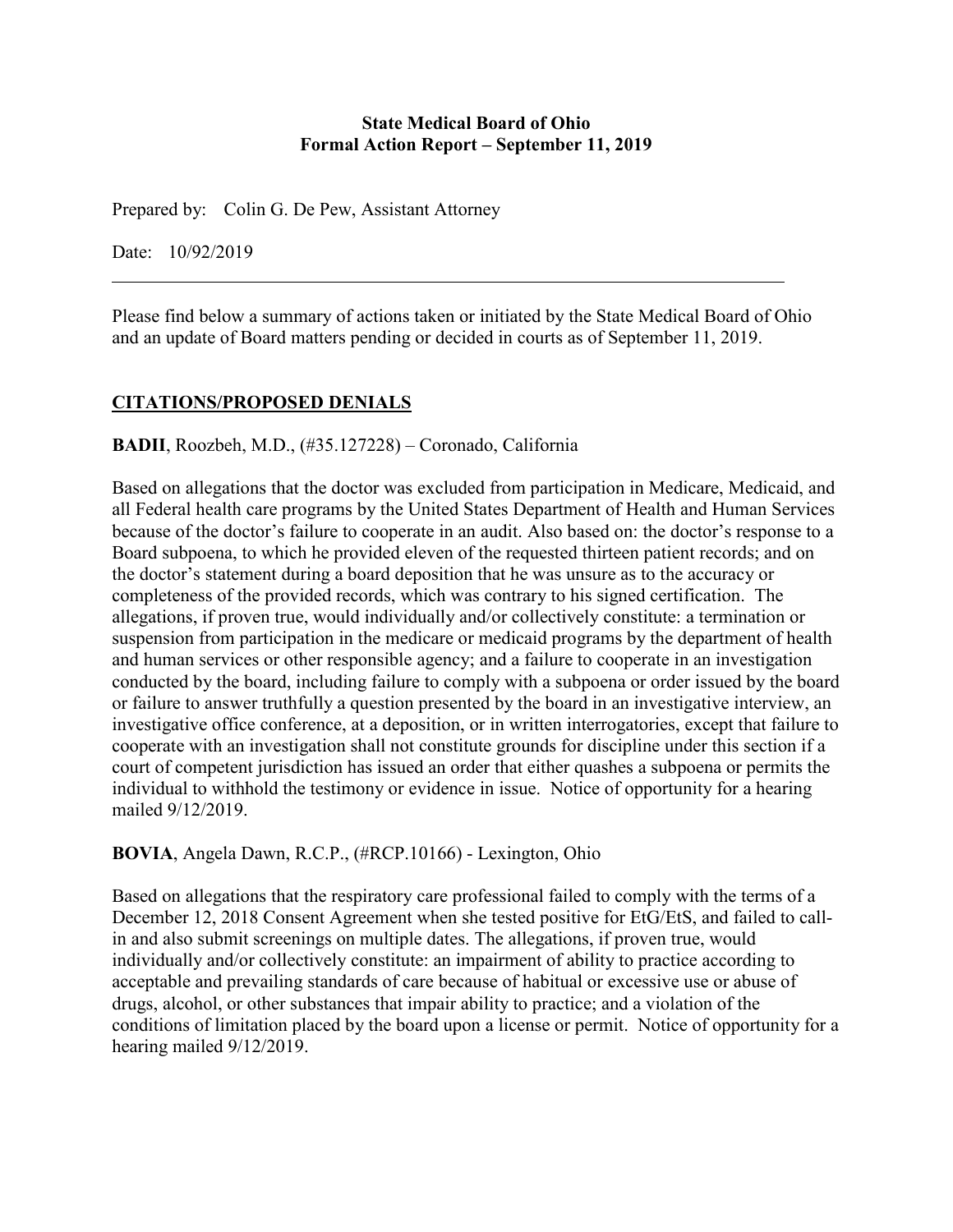#### **State Medical Board of Ohio Formal Action Report – September 11, 2019**

Prepared by: Colin G. De Pew, Assistant Attorney

Date: 10/92/2019

Please find below a summary of actions taken or initiated by the State Medical Board of Ohio and an update of Board matters pending or decided in courts as of September 11, 2019.

# **CITATIONS/PROPOSED DENIALS**

#### **BADII**, Roozbeh, M.D., (#35.127228) – Coronado, California

Based on allegations that the doctor was excluded from participation in Medicare, Medicaid, and all Federal health care programs by the United States Department of Health and Human Services because of the doctor's failure to cooperate in an audit. Also based on: the doctor's response to a Board subpoena, to which he provided eleven of the requested thirteen patient records; and on the doctor's statement during a board deposition that he was unsure as to the accuracy or completeness of the provided records, which was contrary to his signed certification. The allegations, if proven true, would individually and/or collectively constitute: a termination or suspension from participation in the medicare or medicaid programs by the department of health and human services or other responsible agency; and a failure to cooperate in an investigation conducted by the board, including failure to comply with a subpoena or order issued by the board or failure to answer truthfully a question presented by the board in an investigative interview, an investigative office conference, at a deposition, or in written interrogatories, except that failure to cooperate with an investigation shall not constitute grounds for discipline under this section if a court of competent jurisdiction has issued an order that either quashes a subpoena or permits the individual to withhold the testimony or evidence in issue. Notice of opportunity for a hearing mailed 9/12/2019.

## **BOVIA**, Angela Dawn, R.C.P., (#RCP.10166) - Lexington, Ohio

Based on allegations that the respiratory care professional failed to comply with the terms of a December 12, 2018 Consent Agreement when she tested positive for EtG/EtS, and failed to callin and also submit screenings on multiple dates. The allegations, if proven true, would individually and/or collectively constitute: an impairment of ability to practice according to acceptable and prevailing standards of care because of habitual or excessive use or abuse of drugs, alcohol, or other substances that impair ability to practice; and a violation of the conditions of limitation placed by the board upon a license or permit. Notice of opportunity for a hearing mailed 9/12/2019.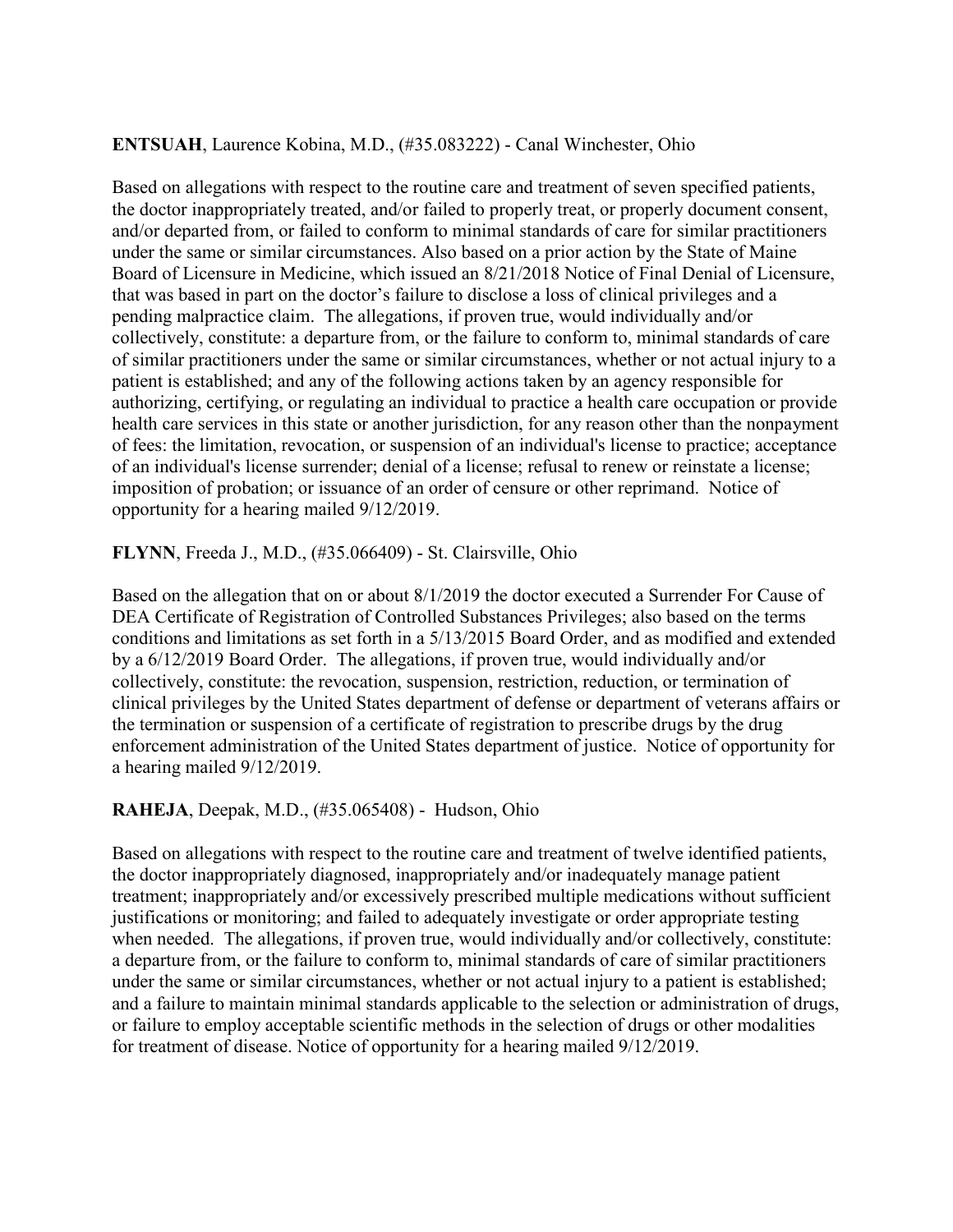#### **ENTSUAH**, Laurence Kobina, M.D., (#35.083222) - Canal Winchester, Ohio

Based on allegations with respect to the routine care and treatment of seven specified patients, the doctor inappropriately treated, and/or failed to properly treat, or properly document consent, and/or departed from, or failed to conform to minimal standards of care for similar practitioners under the same or similar circumstances. Also based on a prior action by the State of Maine Board of Licensure in Medicine, which issued an 8/21/2018 Notice of Final Denial of Licensure, that was based in part on the doctor's failure to disclose a loss of clinical privileges and a pending malpractice claim. The allegations, if proven true, would individually and/or collectively, constitute: a departure from, or the failure to conform to, minimal standards of care of similar practitioners under the same or similar circumstances, whether or not actual injury to a patient is established; and any of the following actions taken by an agency responsible for authorizing, certifying, or regulating an individual to practice a health care occupation or provide health care services in this state or another jurisdiction, for any reason other than the nonpayment of fees: the limitation, revocation, or suspension of an individual's license to practice; acceptance of an individual's license surrender; denial of a license; refusal to renew or reinstate a license; imposition of probation; or issuance of an order of censure or other reprimand. Notice of opportunity for a hearing mailed 9/12/2019.

#### **FLYNN**, Freeda J., M.D., (#35.066409) - St. Clairsville, Ohio

Based on the allegation that on or about 8/1/2019 the doctor executed a Surrender For Cause of DEA Certificate of Registration of Controlled Substances Privileges; also based on the terms conditions and limitations as set forth in a 5/13/2015 Board Order, and as modified and extended by a 6/12/2019 Board Order. The allegations, if proven true, would individually and/or collectively, constitute: the revocation, suspension, restriction, reduction, or termination of clinical privileges by the United States department of defense or department of veterans affairs or the termination or suspension of a certificate of registration to prescribe drugs by the drug enforcement administration of the United States department of justice. Notice of opportunity for a hearing mailed 9/12/2019.

#### **RAHEJA**, Deepak, M.D., (#35.065408) - Hudson, Ohio

Based on allegations with respect to the routine care and treatment of twelve identified patients, the doctor inappropriately diagnosed, inappropriately and/or inadequately manage patient treatment; inappropriately and/or excessively prescribed multiple medications without sufficient justifications or monitoring; and failed to adequately investigate or order appropriate testing when needed. The allegations, if proven true, would individually and/or collectively, constitute: a departure from, or the failure to conform to, minimal standards of care of similar practitioners under the same or similar circumstances, whether or not actual injury to a patient is established; and a failure to maintain minimal standards applicable to the selection or administration of drugs, or failure to employ acceptable scientific methods in the selection of drugs or other modalities for treatment of disease. Notice of opportunity for a hearing mailed 9/12/2019.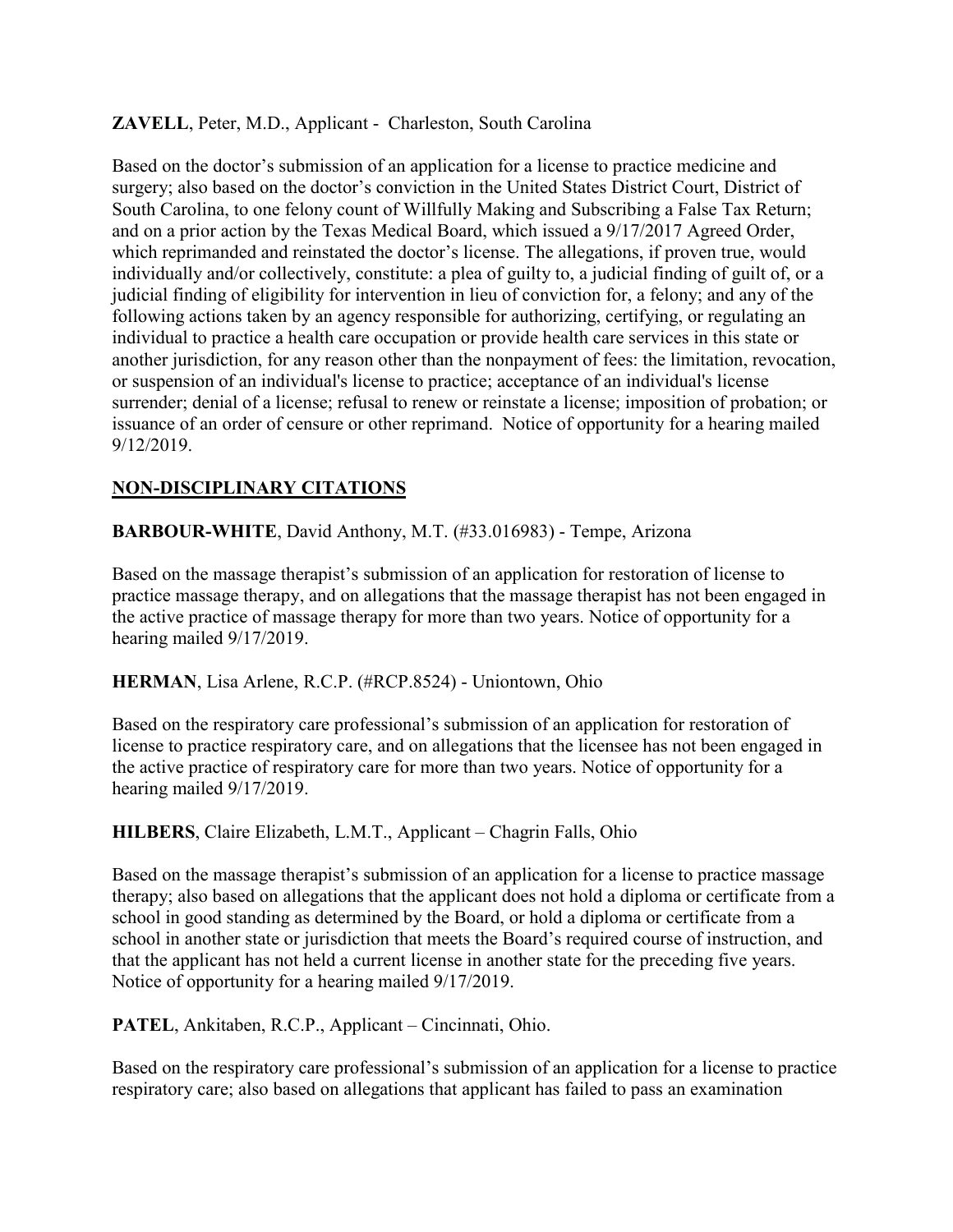## **ZAVELL**, Peter, M.D., Applicant - Charleston, South Carolina

Based on the doctor's submission of an application for a license to practice medicine and surgery; also based on the doctor's conviction in the United States District Court, District of South Carolina, to one felony count of Willfully Making and Subscribing a False Tax Return; and on a prior action by the Texas Medical Board, which issued a 9/17/2017 Agreed Order, which reprimanded and reinstated the doctor's license. The allegations, if proven true, would individually and/or collectively, constitute: a plea of guilty to, a judicial finding of guilt of, or a judicial finding of eligibility for intervention in lieu of conviction for, a felony; and any of the following actions taken by an agency responsible for authorizing, certifying, or regulating an individual to practice a health care occupation or provide health care services in this state or another jurisdiction, for any reason other than the nonpayment of fees: the limitation, revocation, or suspension of an individual's license to practice; acceptance of an individual's license surrender; denial of a license; refusal to renew or reinstate a license; imposition of probation; or issuance of an order of censure or other reprimand. Notice of opportunity for a hearing mailed 9/12/2019.

# **NON-DISCIPLINARY CITATIONS**

**BARBOUR-WHITE**, David Anthony, M.T. (#33.016983) - Tempe, Arizona

Based on the massage therapist's submission of an application for restoration of license to practice massage therapy, and on allegations that the massage therapist has not been engaged in the active practice of massage therapy for more than two years. Notice of opportunity for a hearing mailed 9/17/2019.

## **HERMAN**, Lisa Arlene, R.C.P. (#RCP.8524) - Uniontown, Ohio

Based on the respiratory care professional's submission of an application for restoration of license to practice respiratory care, and on allegations that the licensee has not been engaged in the active practice of respiratory care for more than two years. Notice of opportunity for a hearing mailed 9/17/2019.

## **HILBERS**, Claire Elizabeth, L.M.T., Applicant – Chagrin Falls, Ohio

Based on the massage therapist's submission of an application for a license to practice massage therapy; also based on allegations that the applicant does not hold a diploma or certificate from a school in good standing as determined by the Board, or hold a diploma or certificate from a school in another state or jurisdiction that meets the Board's required course of instruction, and that the applicant has not held a current license in another state for the preceding five years. Notice of opportunity for a hearing mailed 9/17/2019.

**PATEL**, Ankitaben, R.C.P., Applicant – Cincinnati, Ohio.

Based on the respiratory care professional's submission of an application for a license to practice respiratory care; also based on allegations that applicant has failed to pass an examination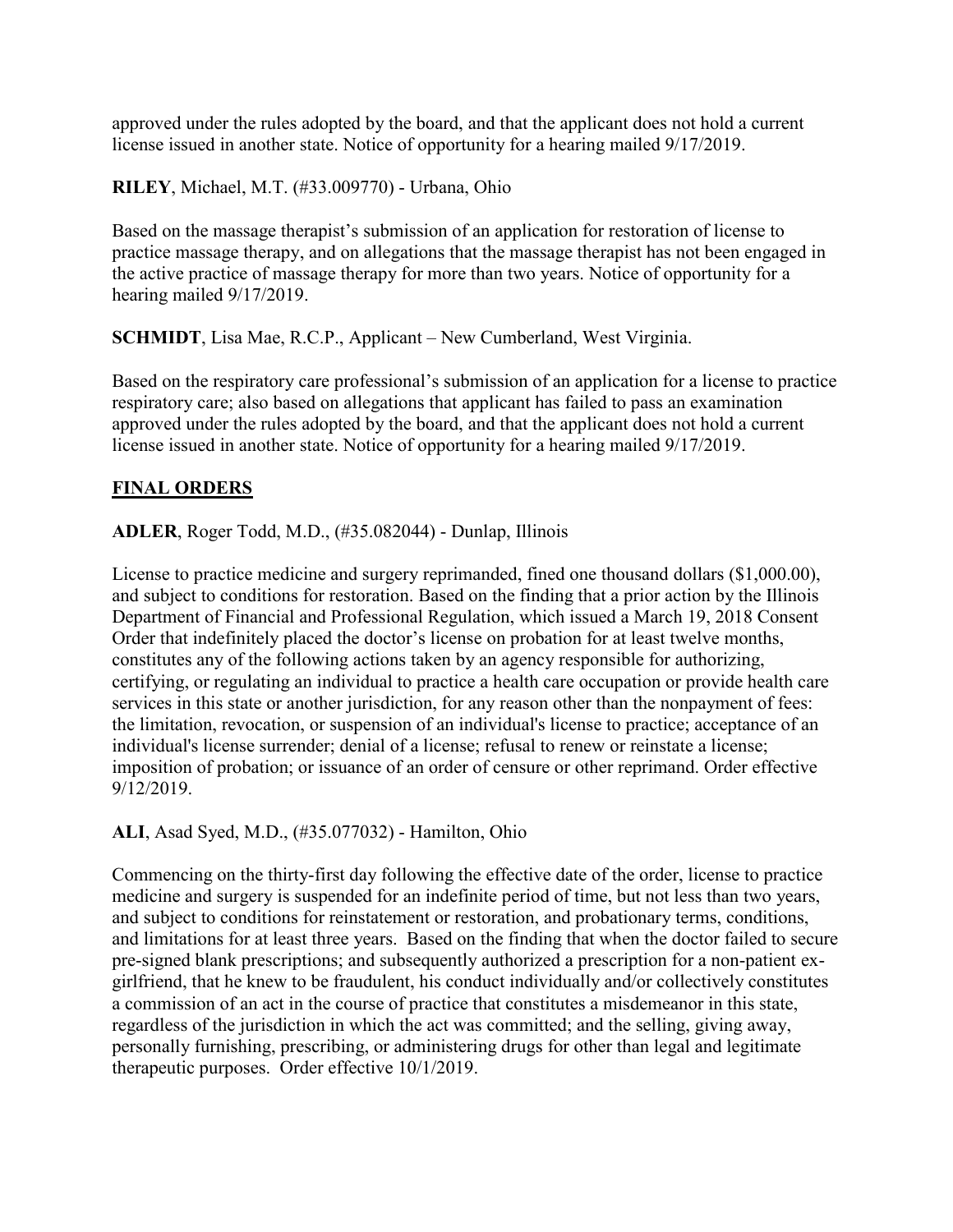approved under the rules adopted by the board, and that the applicant does not hold a current license issued in another state. Notice of opportunity for a hearing mailed 9/17/2019.

**RILEY**, Michael, M.T. (#33.009770) - Urbana, Ohio

Based on the massage therapist's submission of an application for restoration of license to practice massage therapy, and on allegations that the massage therapist has not been engaged in the active practice of massage therapy for more than two years. Notice of opportunity for a hearing mailed 9/17/2019.

**SCHMIDT**, Lisa Mae, R.C.P., Applicant – New Cumberland, West Virginia.

Based on the respiratory care professional's submission of an application for a license to practice respiratory care; also based on allegations that applicant has failed to pass an examination approved under the rules adopted by the board, and that the applicant does not hold a current license issued in another state. Notice of opportunity for a hearing mailed 9/17/2019.

## **FINAL ORDERS**

**ADLER**, Roger Todd, M.D., (#35.082044) - Dunlap, Illinois

License to practice medicine and surgery reprimanded, fined one thousand dollars (\$1,000.00), and subject to conditions for restoration. Based on the finding that a prior action by the Illinois Department of Financial and Professional Regulation, which issued a March 19, 2018 Consent Order that indefinitely placed the doctor's license on probation for at least twelve months, constitutes any of the following actions taken by an agency responsible for authorizing, certifying, or regulating an individual to practice a health care occupation or provide health care services in this state or another jurisdiction, for any reason other than the nonpayment of fees: the limitation, revocation, or suspension of an individual's license to practice; acceptance of an individual's license surrender; denial of a license; refusal to renew or reinstate a license; imposition of probation; or issuance of an order of censure or other reprimand. Order effective  $9/12/2019$ .

**ALI**, Asad Syed, M.D., (#35.077032) - Hamilton, Ohio

Commencing on the thirty-first day following the effective date of the order, license to practice medicine and surgery is suspended for an indefinite period of time, but not less than two years, and subject to conditions for reinstatement or restoration, and probationary terms, conditions, and limitations for at least three years. Based on the finding that when the doctor failed to secure pre-signed blank prescriptions; and subsequently authorized a prescription for a non-patient exgirlfriend, that he knew to be fraudulent, his conduct individually and/or collectively constitutes a commission of an act in the course of practice that constitutes a misdemeanor in this state, regardless of the jurisdiction in which the act was committed; and the selling, giving away, personally furnishing, prescribing, or administering drugs for other than legal and legitimate therapeutic purposes. Order effective 10/1/2019.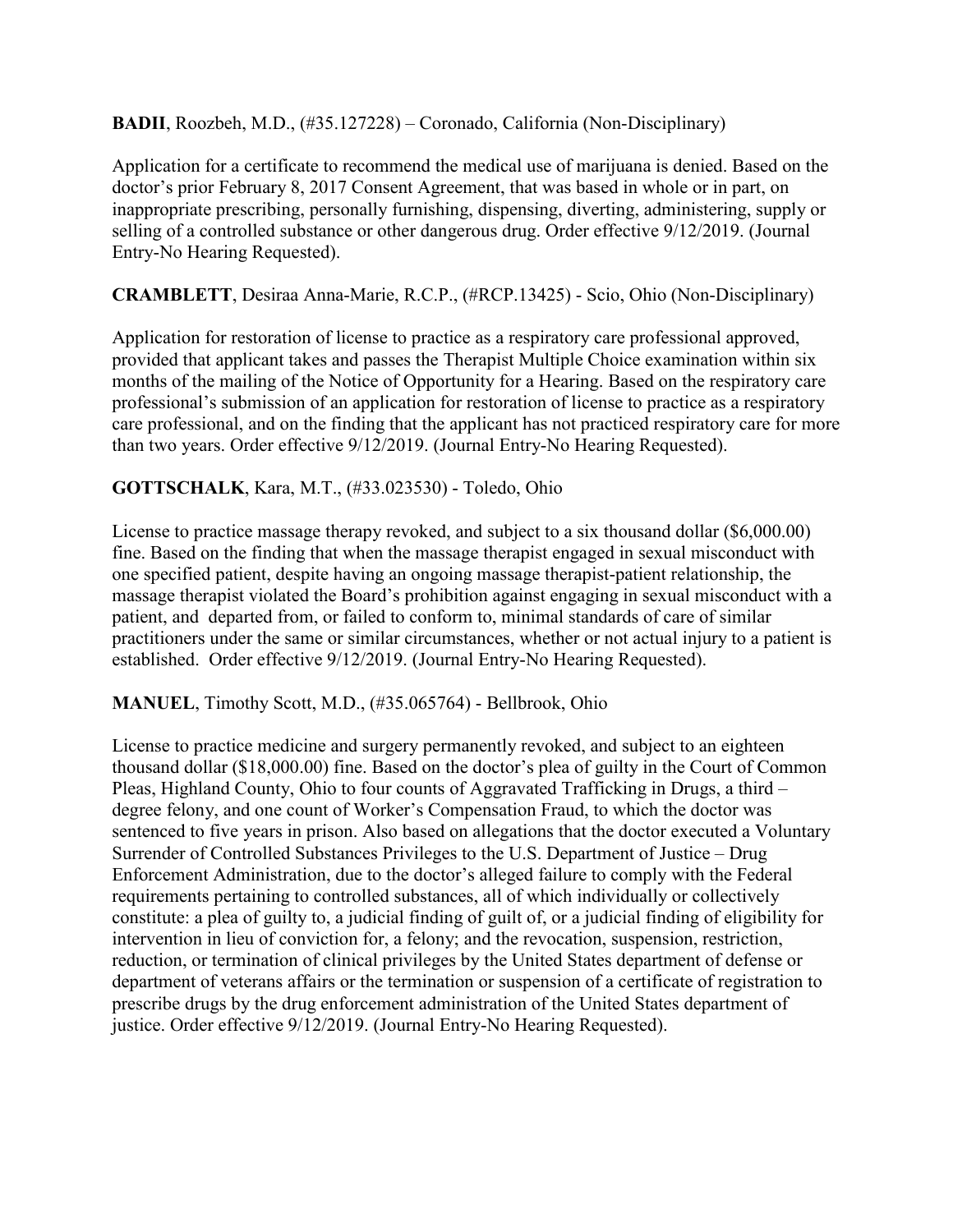**BADII**, Roozbeh, M.D., (#35.127228) – Coronado, California (Non-Disciplinary)

Application for a certificate to recommend the medical use of marijuana is denied. Based on the doctor's prior February 8, 2017 Consent Agreement, that was based in whole or in part, on inappropriate prescribing, personally furnishing, dispensing, diverting, administering, supply or selling of a controlled substance or other dangerous drug. Order effective 9/12/2019. (Journal Entry-No Hearing Requested).

## **CRAMBLETT**, Desiraa Anna-Marie, R.C.P., (#RCP.13425) - Scio, Ohio (Non-Disciplinary)

Application for restoration of license to practice as a respiratory care professional approved, provided that applicant takes and passes the Therapist Multiple Choice examination within six months of the mailing of the Notice of Opportunity for a Hearing. Based on the respiratory care professional's submission of an application for restoration of license to practice as a respiratory care professional, and on the finding that the applicant has not practiced respiratory care for more than two years. Order effective 9/12/2019. (Journal Entry-No Hearing Requested).

## **GOTTSCHALK**, Kara, M.T., (#33.023530) - Toledo, Ohio

License to practice massage therapy revoked, and subject to a six thousand dollar (\$6,000.00) fine. Based on the finding that when the massage therapist engaged in sexual misconduct with one specified patient, despite having an ongoing massage therapist-patient relationship, the massage therapist violated the Board's prohibition against engaging in sexual misconduct with a patient, and departed from, or failed to conform to, minimal standards of care of similar practitioners under the same or similar circumstances, whether or not actual injury to a patient is established. Order effective 9/12/2019. (Journal Entry-No Hearing Requested).

## **MANUEL**, Timothy Scott, M.D., (#35.065764) - Bellbrook, Ohio

License to practice medicine and surgery permanently revoked, and subject to an eighteen thousand dollar (\$18,000.00) fine. Based on the doctor's plea of guilty in the Court of Common Pleas, Highland County, Ohio to four counts of Aggravated Trafficking in Drugs, a third – degree felony, and one count of Worker's Compensation Fraud, to which the doctor was sentenced to five years in prison. Also based on allegations that the doctor executed a Voluntary Surrender of Controlled Substances Privileges to the U.S. Department of Justice – Drug Enforcement Administration, due to the doctor's alleged failure to comply with the Federal requirements pertaining to controlled substances, all of which individually or collectively constitute: a plea of guilty to, a judicial finding of guilt of, or a judicial finding of eligibility for intervention in lieu of conviction for, a felony; and the revocation, suspension, restriction, reduction, or termination of clinical privileges by the United States department of defense or department of veterans affairs or the termination or suspension of a certificate of registration to prescribe drugs by the drug enforcement administration of the United States department of justice. Order effective 9/12/2019. (Journal Entry-No Hearing Requested).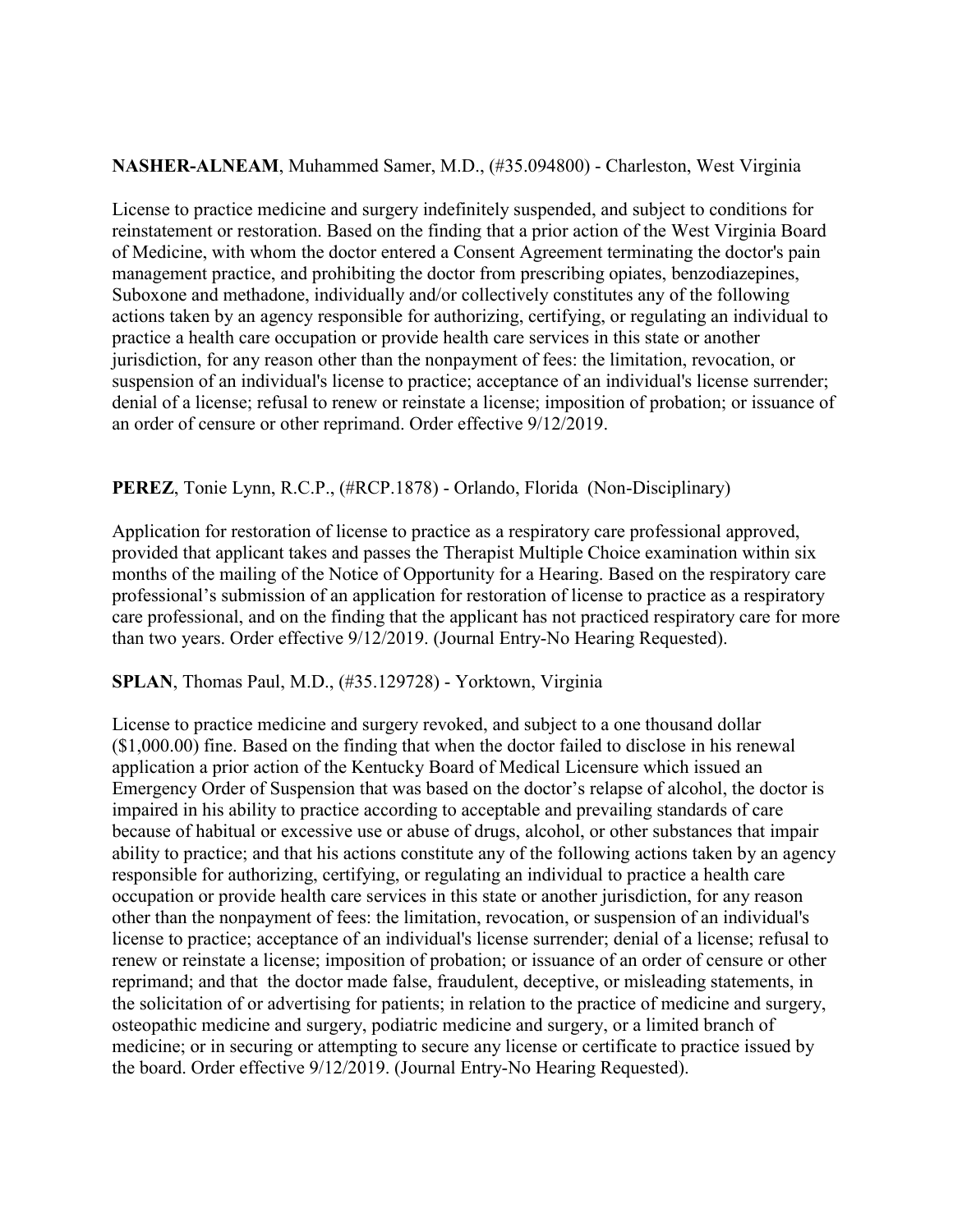#### **NASHER-ALNEAM**, Muhammed Samer, M.D., (#35.094800) - Charleston, West Virginia

License to practice medicine and surgery indefinitely suspended, and subject to conditions for reinstatement or restoration. Based on the finding that a prior action of the West Virginia Board of Medicine, with whom the doctor entered a Consent Agreement terminating the doctor's pain management practice, and prohibiting the doctor from prescribing opiates, benzodiazepines, Suboxone and methadone, individually and/or collectively constitutes any of the following actions taken by an agency responsible for authorizing, certifying, or regulating an individual to practice a health care occupation or provide health care services in this state or another jurisdiction, for any reason other than the nonpayment of fees: the limitation, revocation, or suspension of an individual's license to practice; acceptance of an individual's license surrender; denial of a license; refusal to renew or reinstate a license; imposition of probation; or issuance of an order of censure or other reprimand. Order effective 9/12/2019.

#### **PEREZ**, Tonie Lynn, R.C.P., (#RCP.1878) - Orlando, Florida (Non-Disciplinary)

Application for restoration of license to practice as a respiratory care professional approved, provided that applicant takes and passes the Therapist Multiple Choice examination within six months of the mailing of the Notice of Opportunity for a Hearing. Based on the respiratory care professional's submission of an application for restoration of license to practice as a respiratory care professional, and on the finding that the applicant has not practiced respiratory care for more than two years. Order effective 9/12/2019. (Journal Entry-No Hearing Requested).

#### **SPLAN**, Thomas Paul, M.D., (#35.129728) - Yorktown, Virginia

License to practice medicine and surgery revoked, and subject to a one thousand dollar (\$1,000.00) fine. Based on the finding that when the doctor failed to disclose in his renewal application a prior action of the Kentucky Board of Medical Licensure which issued an Emergency Order of Suspension that was based on the doctor's relapse of alcohol, the doctor is impaired in his ability to practice according to acceptable and prevailing standards of care because of habitual or excessive use or abuse of drugs, alcohol, or other substances that impair ability to practice; and that his actions constitute any of the following actions taken by an agency responsible for authorizing, certifying, or regulating an individual to practice a health care occupation or provide health care services in this state or another jurisdiction, for any reason other than the nonpayment of fees: the limitation, revocation, or suspension of an individual's license to practice; acceptance of an individual's license surrender; denial of a license; refusal to renew or reinstate a license; imposition of probation; or issuance of an order of censure or other reprimand; and that the doctor made false, fraudulent, deceptive, or misleading statements, in the solicitation of or advertising for patients; in relation to the practice of medicine and surgery, osteopathic medicine and surgery, podiatric medicine and surgery, or a limited branch of medicine; or in securing or attempting to secure any license or certificate to practice issued by the board. Order effective 9/12/2019. (Journal Entry-No Hearing Requested).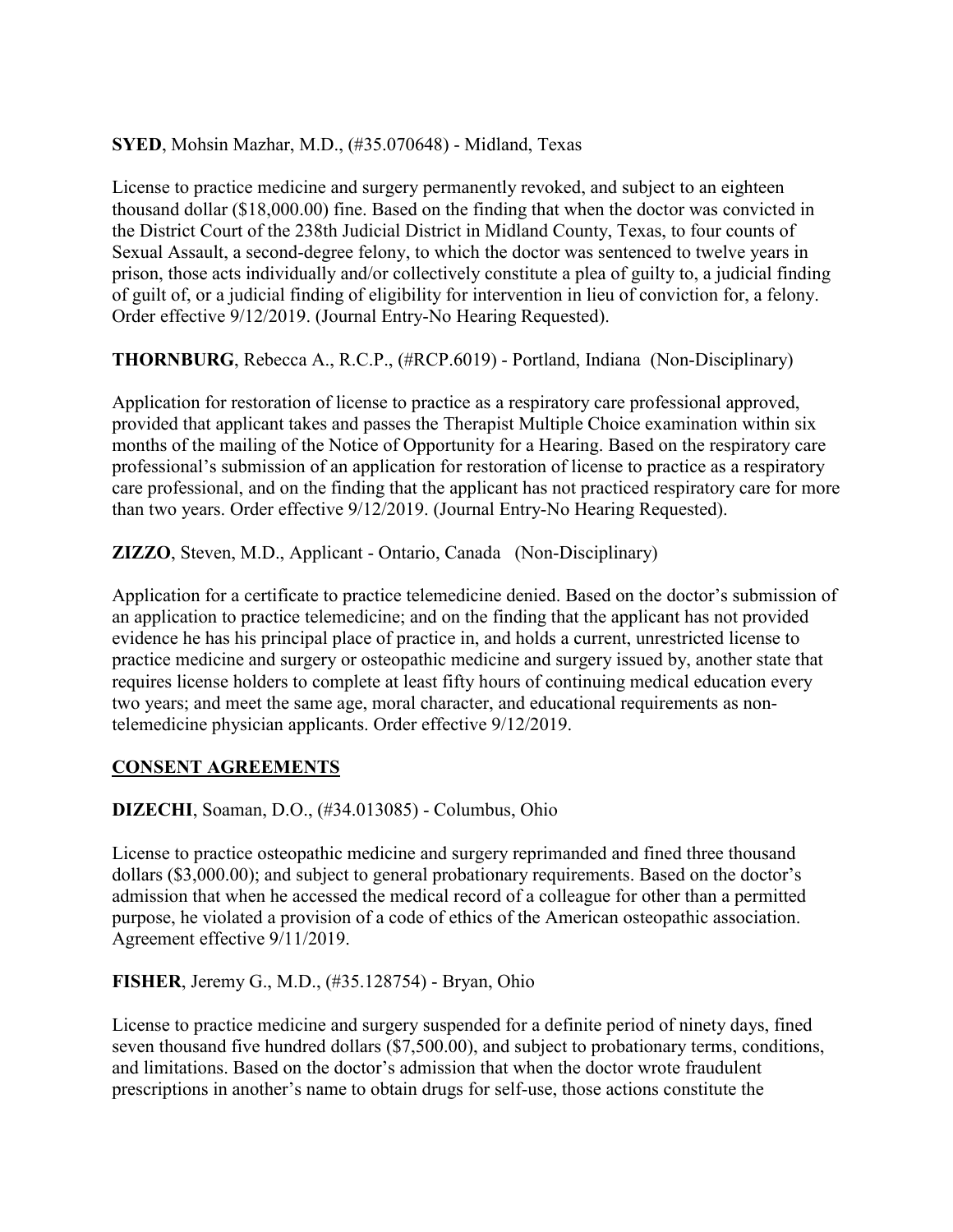## **SYED**, Mohsin Mazhar, M.D., (#35.070648) - Midland, Texas

License to practice medicine and surgery permanently revoked, and subject to an eighteen thousand dollar (\$18,000.00) fine. Based on the finding that when the doctor was convicted in the District Court of the 238th Judicial District in Midland County, Texas, to four counts of Sexual Assault, a second-degree felony, to which the doctor was sentenced to twelve years in prison, those acts individually and/or collectively constitute a plea of guilty to, a judicial finding of guilt of, or a judicial finding of eligibility for intervention in lieu of conviction for, a felony. Order effective 9/12/2019. (Journal Entry-No Hearing Requested).

**THORNBURG**, Rebecca A., R.C.P., (#RCP.6019) - Portland, Indiana (Non-Disciplinary)

Application for restoration of license to practice as a respiratory care professional approved, provided that applicant takes and passes the Therapist Multiple Choice examination within six months of the mailing of the Notice of Opportunity for a Hearing. Based on the respiratory care professional's submission of an application for restoration of license to practice as a respiratory care professional, and on the finding that the applicant has not practiced respiratory care for more than two years. Order effective 9/12/2019. (Journal Entry-No Hearing Requested).

**ZIZZO**, Steven, M.D., Applicant - Ontario, Canada (Non-Disciplinary)

Application for a certificate to practice telemedicine denied. Based on the doctor's submission of an application to practice telemedicine; and on the finding that the applicant has not provided evidence he has his principal place of practice in, and holds a current, unrestricted license to practice medicine and surgery or osteopathic medicine and surgery issued by, another state that requires license holders to complete at least fifty hours of continuing medical education every two years; and meet the same age, moral character, and educational requirements as nontelemedicine physician applicants. Order effective 9/12/2019.

## **CONSENT AGREEMENTS**

**DIZECHI**, Soaman, D.O., (#34.013085) - Columbus, Ohio

License to practice osteopathic medicine and surgery reprimanded and fined three thousand dollars (\$3,000.00); and subject to general probationary requirements. Based on the doctor's admission that when he accessed the medical record of a colleague for other than a permitted purpose, he violated a provision of a code of ethics of the American osteopathic association. Agreement effective 9/11/2019.

**FISHER**, Jeremy G., M.D., (#35.128754) - Bryan, Ohio

License to practice medicine and surgery suspended for a definite period of ninety days, fined seven thousand five hundred dollars (\$7,500.00), and subject to probationary terms, conditions, and limitations. Based on the doctor's admission that when the doctor wrote fraudulent prescriptions in another's name to obtain drugs for self-use, those actions constitute the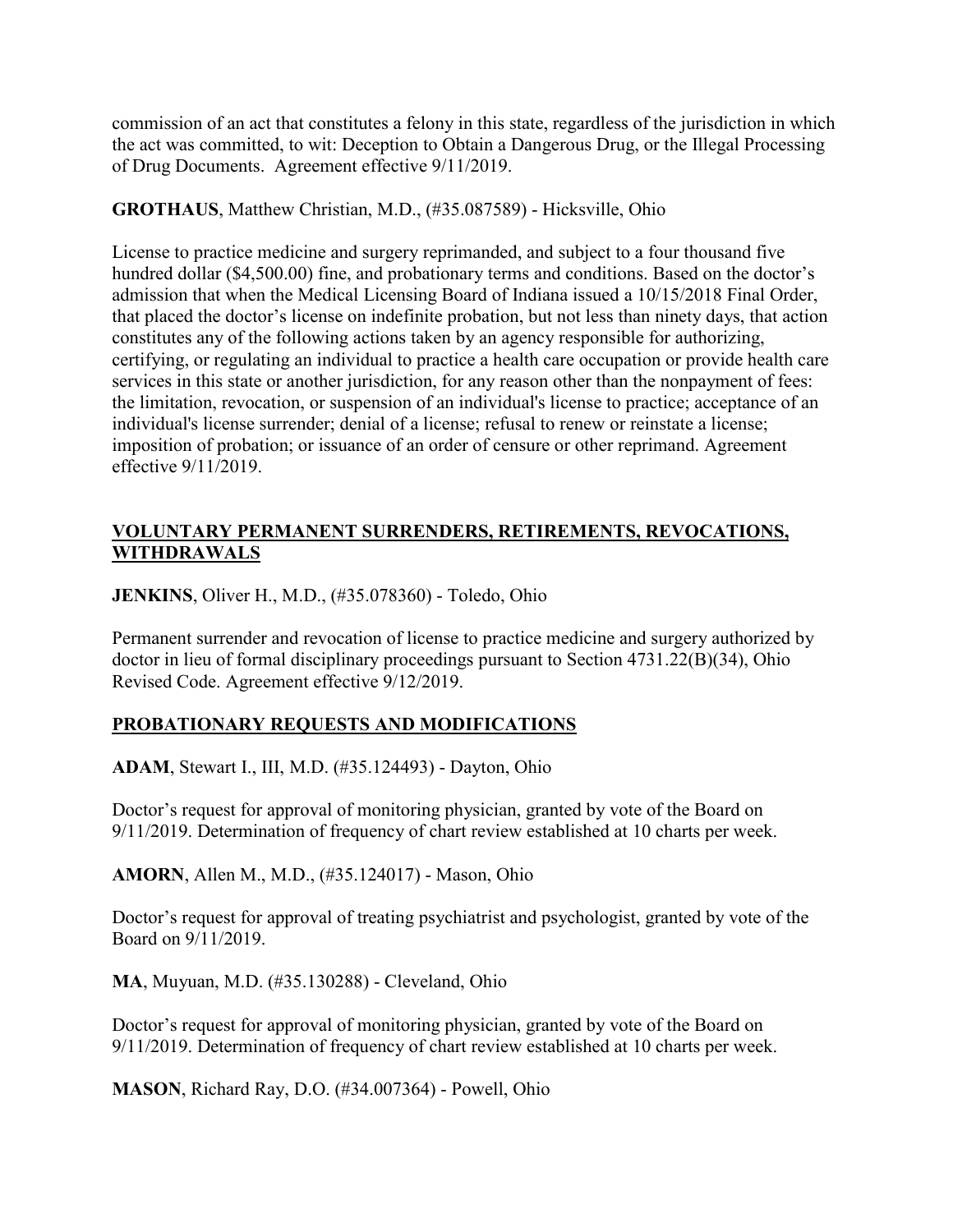commission of an act that constitutes a felony in this state, regardless of the jurisdiction in which the act was committed, to wit: Deception to Obtain a Dangerous Drug, or the Illegal Processing of Drug Documents. Agreement effective 9/11/2019.

## **GROTHAUS**, Matthew Christian, M.D., (#35.087589) - Hicksville, Ohio

License to practice medicine and surgery reprimanded, and subject to a four thousand five hundred dollar (\$4,500.00) fine, and probationary terms and conditions. Based on the doctor's admission that when the Medical Licensing Board of Indiana issued a 10/15/2018 Final Order, that placed the doctor's license on indefinite probation, but not less than ninety days, that action constitutes any of the following actions taken by an agency responsible for authorizing, certifying, or regulating an individual to practice a health care occupation or provide health care services in this state or another jurisdiction, for any reason other than the nonpayment of fees: the limitation, revocation, or suspension of an individual's license to practice; acceptance of an individual's license surrender; denial of a license; refusal to renew or reinstate a license; imposition of probation; or issuance of an order of censure or other reprimand. Agreement effective 9/11/2019.

# **VOLUNTARY PERMANENT SURRENDERS, RETIREMENTS, REVOCATIONS, WITHDRAWALS**

**JENKINS**, Oliver H., M.D., (#35.078360) - Toledo, Ohio

Permanent surrender and revocation of license to practice medicine and surgery authorized by doctor in lieu of formal disciplinary proceedings pursuant to Section 4731.22(B)(34), Ohio Revised Code. Agreement effective 9/12/2019.

# **PROBATIONARY REQUESTS AND MODIFICATIONS**

**ADAM**, Stewart I., III, M.D. (#35.124493) - Dayton, Ohio

Doctor's request for approval of monitoring physician, granted by vote of the Board on 9/11/2019. Determination of frequency of chart review established at 10 charts per week.

**AMORN**, Allen M., M.D., (#35.124017) - Mason, Ohio

Doctor's request for approval of treating psychiatrist and psychologist, granted by vote of the Board on 9/11/2019.

**MA**, Muyuan, M.D. (#35.130288) - Cleveland, Ohio

Doctor's request for approval of monitoring physician, granted by vote of the Board on 9/11/2019. Determination of frequency of chart review established at 10 charts per week.

**MASON**, Richard Ray, D.O. (#34.007364) - Powell, Ohio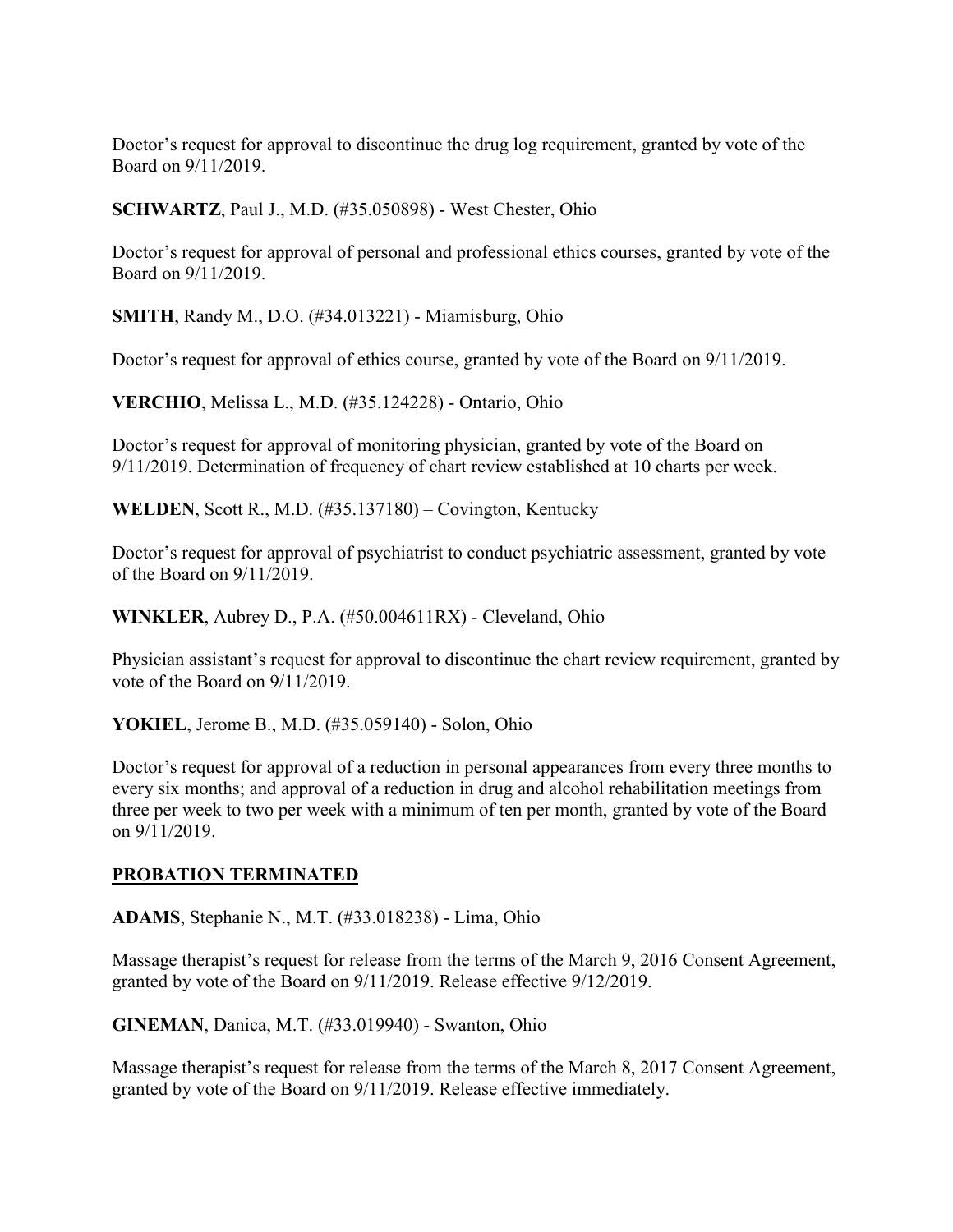Doctor's request for approval to discontinue the drug log requirement, granted by vote of the Board on 9/11/2019.

**SCHWARTZ**, Paul J., M.D. (#35.050898) - West Chester, Ohio

Doctor's request for approval of personal and professional ethics courses, granted by vote of the Board on 9/11/2019.

**SMITH**, Randy M., D.O. (#34.013221) - Miamisburg, Ohio

Doctor's request for approval of ethics course, granted by vote of the Board on 9/11/2019.

**VERCHIO**, Melissa L., M.D. (#35.124228) - Ontario, Ohio

Doctor's request for approval of monitoring physician, granted by vote of the Board on 9/11/2019. Determination of frequency of chart review established at 10 charts per week.

**WELDEN**, Scott R., M.D. (#35.137180) – Covington, Kentucky

Doctor's request for approval of psychiatrist to conduct psychiatric assessment, granted by vote of the Board on 9/11/2019.

**WINKLER**, Aubrey D., P.A. (#50.004611RX) - Cleveland, Ohio

Physician assistant's request for approval to discontinue the chart review requirement, granted by vote of the Board on 9/11/2019.

**YOKIEL**, Jerome B., M.D. (#35.059140) - Solon, Ohio

Doctor's request for approval of a reduction in personal appearances from every three months to every six months; and approval of a reduction in drug and alcohol rehabilitation meetings from three per week to two per week with a minimum of ten per month, granted by vote of the Board on 9/11/2019.

#### **PROBATION TERMINATED**

**ADAMS**, Stephanie N., M.T. (#33.018238) - Lima, Ohio

Massage therapist's request for release from the terms of the March 9, 2016 Consent Agreement, granted by vote of the Board on 9/11/2019. Release effective 9/12/2019.

**GINEMAN**, Danica, M.T. (#33.019940) - Swanton, Ohio

Massage therapist's request for release from the terms of the March 8, 2017 Consent Agreement, granted by vote of the Board on 9/11/2019. Release effective immediately.